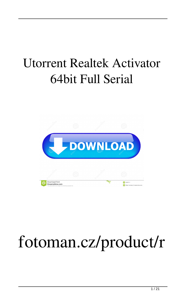#### Utorrent Realtek Activator 64bit Full Serial



#### fotoman.cz/product/r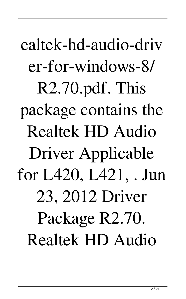ealtek-hd-audio-driv er-for-windows-8/ R2.70.pdf. This package contains the Realtek HD Audio Driver Applicable for L420, L421, . Jun 23, 2012 Driver Package R2.70. Realtek HD Audio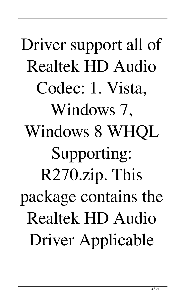# Driver support all of Realtek HD Audio Codec: 1. Vista, Windows 7, Windows 8 WHQL Supporting: R270.zip. This package contains the Realtek HD Audio Driver Applicable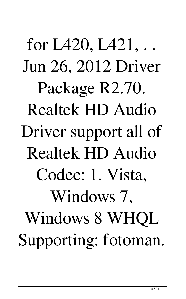for L420, L421, . . Jun 26, 2012 Driver Package R2.70. Realtek HD Audio Driver support all of Realtek HD Audio Codec: 1. Vista, Windows 7, Windows 8 WHQL Supporting: fotoman.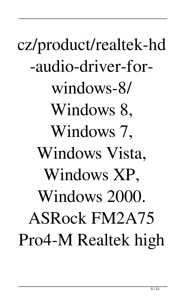cz/product/realtek-hd -audio-driver-forwindows-8/ Windows 8, Windows 7, Windows Vista, Windows XP, Windows 2000. ASRock FM2A75 Pro4-M Realtek high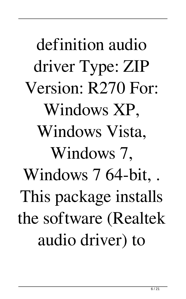definition audio driver Type: ZIP Version: R270 For: Windows XP, Windows Vista, Windows 7, Windows 7 64-bit, . This package installs the software (Realtek audio driver) to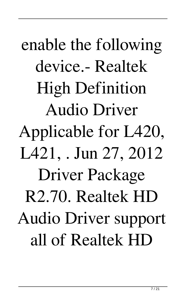enable the following device.- Realtek High Definition Audio Driver Applicable for L420, L421, . Jun 27, 2012 Driver Package R2.70. Realtek HD Audio Driver support all of Realtek HD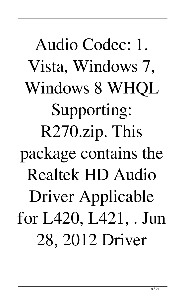# Audio Codec: 1. Vista, Windows 7, Windows 8 WHQL Supporting: R270.zip. This package contains the Realtek HD Audio Driver Applicable for L420, L421, . Jun 28, 2012 Driver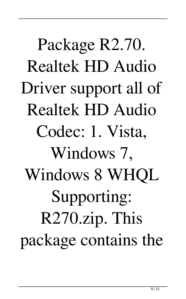Package R2.70. Realtek HD Audio Driver support all of Realtek HD Audio Codec: 1. Vista, Windows 7, Windows 8 WHQL Supporting: R270.zip. This package contains the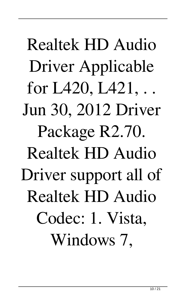Realtek HD Audio Driver Applicable for L420, L421, . . Jun 30, 2012 Driver Package R2.70. Realtek HD Audio Driver support all of Realtek HD Audio Codec: 1. Vista, Windows 7,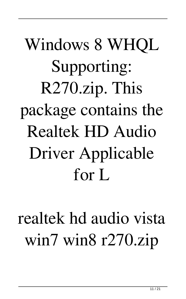# Windows 8 WHQL Supporting: R270.zip. This package contains the Realtek HD Audio Driver Applicable for L

#### realtek hd audio vista win7 win8 r270.zip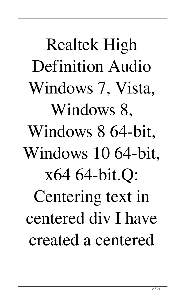Realtek High Definition Audio Windows 7, Vista, Windows 8, Windows 8 64-bit, Windows 10 64-bit, x64 64-bit.Q: Centering text in centered div I have created a centered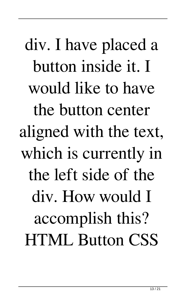div. I have placed a button inside it. I would like to have the button center aligned with the text, which is currently in the left side of the div. How would I accomplish this? HTML Button CSS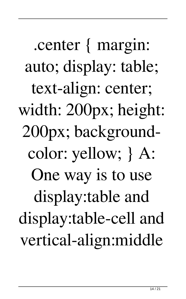.center { margin: auto; display: table; text-align: center; width: 200px; height: 200px; backgroundcolor: yellow; } A: One way is to use display:table and display:table-cell and vertical-align:middle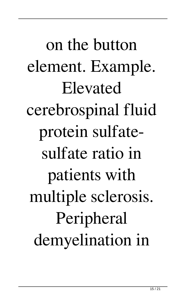on the button element. Example. Elevated cerebrospinal fluid protein sulfatesulfate ratio in patients with multiple sclerosis. Peripheral demyelination in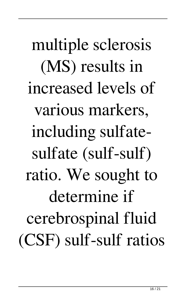multiple sclerosis (MS) results in increased levels of various markers, including sulfatesulfate (sulf-sulf) ratio. We sought to determine if cerebrospinal fluid (CSF) sulf-sulf ratios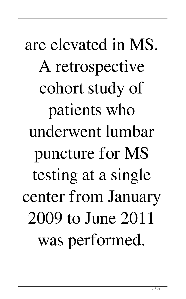are elevated in MS. A retrospective cohort study of patients who underwent lumbar puncture for MS testing at a single center from January 2009 to June 2011 was performed.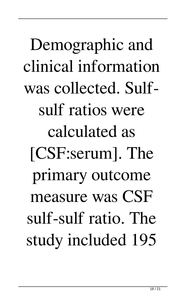Demographic and clinical information was collected. Sulfsulf ratios were calculated as [CSF:serum]. The primary outcome measure was CSF sulf-sulf ratio. The study included 195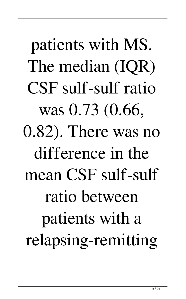patients with MS. The median (IQR) CSF sulf-sulf ratio was 0.73 (0.66, 0.82). There was no difference in the mean CSF sulf-sulf ratio between patients with a relapsing-remitting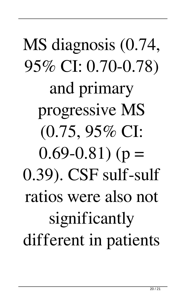# MS diagnosis (0.74, 95% CI: 0.70-0.78) and primary progressive MS (0.75, 95% CI:  $0.69 - 0.81$ ) (p = 0.39). CSF sulf-sulf ratios were also not significantly different in patients